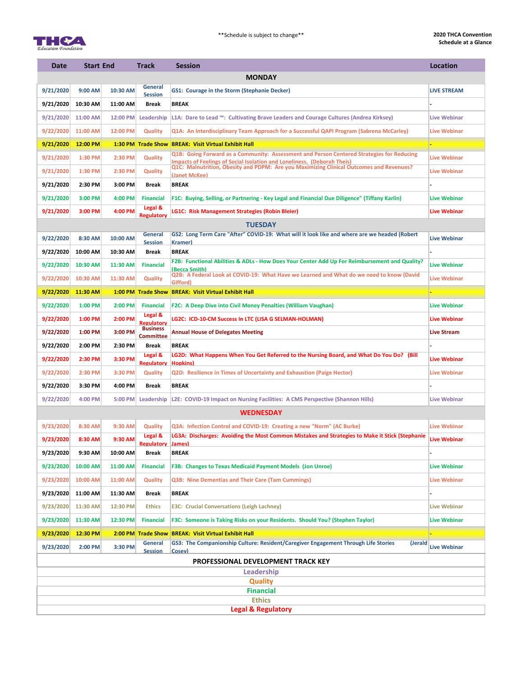



| <b>Date</b>                                                                                                    | <b>Start End</b> |           | <b>Track</b>                        | <b>Session</b>                                                                                                                                                            | Location            |  |  |  |  |  |  |  |
|----------------------------------------------------------------------------------------------------------------|------------------|-----------|-------------------------------------|---------------------------------------------------------------------------------------------------------------------------------------------------------------------------|---------------------|--|--|--|--|--|--|--|
| <b>MONDAY</b>                                                                                                  |                  |           |                                     |                                                                                                                                                                           |                     |  |  |  |  |  |  |  |
| 9/21/2020                                                                                                      | 9:00 AM          | 10:30 AM  | <b>General</b><br><b>Session</b>    | <b>GS1: Courage in the Storm (Stephanie Decker)</b>                                                                                                                       | <b>LIVE STREAM</b>  |  |  |  |  |  |  |  |
| 9/21/2020                                                                                                      | 10:30 AM         | 11:00 AM  | <b>Break</b>                        | <b>BREAK</b>                                                                                                                                                              |                     |  |  |  |  |  |  |  |
| 9/21/2020                                                                                                      | 11:00 AM         | 12:00 PM  | Leadership                          | L1A: Dare to Lead ™: Cultivating Brave Leaders and Courage Cultures (Andrea Kirksey)                                                                                      | <b>Live Webinar</b> |  |  |  |  |  |  |  |
| 9/22/2020                                                                                                      | 11:00 AM         | 12:00 PM  | <b>Quality</b>                      | Q1A: An Interdisciplinary Team Approach for a Successful QAPI Program (Sabrena McCarley)                                                                                  | <b>Live Webinar</b> |  |  |  |  |  |  |  |
| 9/21/2020                                                                                                      | 12:00 PM         |           |                                     | 1:30 PM Trade Show BREAK: Visit Virtual Exhibit Hall                                                                                                                      |                     |  |  |  |  |  |  |  |
| 9/21/2020                                                                                                      | 1:30 PM          | 2:30 PM   | <b>Quality</b>                      | Q1B: Going Forward as a Community: Assessment and Person Centered Strategies for Reducing                                                                                 | <b>Live Webinar</b> |  |  |  |  |  |  |  |
| 9/21/2020                                                                                                      | 1:30 PM          | 2:30 PM   | <b>Quality</b>                      | <b>Impacts of Feelings of Social Isolation and Loneliness. (Deborah Theis)</b><br>Q1C: Malnutrition, Obesity and PDPM: Are you Maximizing Clinical Outcomes and Revenues? | <b>Live Webinar</b> |  |  |  |  |  |  |  |
| 9/21/2020                                                                                                      | 2:30 PM          | 3:00 PM   | <b>Break</b>                        | (Janet McKee)<br><b>BREAK</b>                                                                                                                                             |                     |  |  |  |  |  |  |  |
| 9/21/2020                                                                                                      | 3:00 PM          | 4:00 PM   | <b>Financial</b>                    | F1C: Buying, Selling, or Partnering - Key Legal and Financial Due Diligence" (Tiffany Karlin)                                                                             | <b>Live Webinar</b> |  |  |  |  |  |  |  |
| 9/21/2020                                                                                                      | 3:00 PM          | 4:00 PM   | Legal &                             | LG1C: Risk Management Strategies (Robin Bleier)                                                                                                                           | <b>Live Webinar</b> |  |  |  |  |  |  |  |
| <b>Regulatory</b><br><b>TUESDAY</b>                                                                            |                  |           |                                     |                                                                                                                                                                           |                     |  |  |  |  |  |  |  |
| GS2: Long Term Care "After" COVID-19: What will it look like and where are we headed (Robert<br><b>General</b> |                  |           |                                     |                                                                                                                                                                           |                     |  |  |  |  |  |  |  |
| 9/22/2020                                                                                                      | 8:30 AM          | 10:00 AM  | <b>Session</b>                      | <b>Kramer</b> )                                                                                                                                                           | <b>Live Webinar</b> |  |  |  |  |  |  |  |
| 9/22/2020                                                                                                      | 10:00 AM         | 10:30 AM  | <b>Break</b>                        | <b>BREAK</b>                                                                                                                                                              |                     |  |  |  |  |  |  |  |
| 9/22/2020                                                                                                      | 10:30 AM         | 11:30 AM  | <b>Financial</b>                    | F2B: Functional Abilities & ADLs - How Does Your Center Add Up For Reimbursement and Quality?<br>(Becca Smith)                                                            | <b>Live Webinar</b> |  |  |  |  |  |  |  |
| 9/22/2020                                                                                                      | 10:30 AM         | 11:30 AM  | <b>Quality</b>                      | Q2B: A Federal Look at COVID-19: What Have we Learned and What do we need to know (David<br><b>Gifford</b> )                                                              | <b>Live Webinar</b> |  |  |  |  |  |  |  |
| 9/22/2020                                                                                                      | 11:30 AM         |           |                                     | 1:00 PM Trade Show BREAK: Visit Virtual Exhibit Hall                                                                                                                      |                     |  |  |  |  |  |  |  |
| 9/22/2020                                                                                                      | $1:00$ PM        |           |                                     | 2:00 PM Financial F2C: A Deep Dive into Civil Money Penalties (William Vaughan)                                                                                           | <b>Live Webinar</b> |  |  |  |  |  |  |  |
| 9/22/2020                                                                                                      | $1:00$ PM        | 2:00 PM   | Legal &<br><b>Regulatory</b>        | LG2C: ICD-10-CM Success In LTC (LISA G SELMAN-HOLMAN)                                                                                                                     | <b>Live Webinar</b> |  |  |  |  |  |  |  |
| 9/22/2020                                                                                                      | $1:00$ PM        | 3:00 PM   | <b>Business</b><br><b>Committee</b> | <b>Annual House of Delegates Meeting</b>                                                                                                                                  | <b>Live Stream</b>  |  |  |  |  |  |  |  |
| 9/22/2020                                                                                                      | 2:00 PM          | 2:30 PM   | <b>Break</b>                        | <b>BREAK</b>                                                                                                                                                              |                     |  |  |  |  |  |  |  |
| 9/22/2020                                                                                                      | 2:30 PM          | 3:30 PM   | Legal &<br><b>Regulatory</b>        | LG2D: What Happens When You Get Referred to the Nursing Board, and What Do You Do? (Bill<br><b>Hopkins</b> )                                                              | <b>Live Webinar</b> |  |  |  |  |  |  |  |
| 9/22/2020                                                                                                      | 2:30 PM          | 3:30 PM   | <b>Quality</b>                      | <b>Q2D: Resilience in Times of Uncertainty and Exhaustion (Paige Hector)</b>                                                                                              | <b>Live Webinar</b> |  |  |  |  |  |  |  |
| 9/22/2020                                                                                                      | 3:30 PM          | 4:00 PM   | <b>Break</b>                        | <b>BREAK</b>                                                                                                                                                              |                     |  |  |  |  |  |  |  |
| 9/22/2020                                                                                                      | 4:00 PM          | $5:00$ PM | Leadership                          | L2E: COVID-19 Impact on Nursing Facilities: A CMS Perspective (Shannon Hills)                                                                                             | <b>Live Webinar</b> |  |  |  |  |  |  |  |
|                                                                                                                |                  |           |                                     | <b>WEDNESDAY</b>                                                                                                                                                          |                     |  |  |  |  |  |  |  |
| 9/23/2020                                                                                                      | 8:30 AM          | 9:30 AM   | <b>Quality</b>                      | Q3A: Infection Control and COVID-19: Creating a new "Norm" (AC Burke)                                                                                                     | <b>Live Webinar</b> |  |  |  |  |  |  |  |
| 9/23/2020                                                                                                      | 8:30 AM          | 9:30 AM   | Legal &                             | LG3A: Discharges: Avoiding the Most Common Mistakes and Strategies to Make it Stick (Stephanie                                                                            | <b>Live Webinar</b> |  |  |  |  |  |  |  |
| 9/23/2020                                                                                                      | 9:30 AM          | 10:00 AM  | <b>Regulatory</b><br><b>Break</b>   | James)<br><b>BREAK</b>                                                                                                                                                    |                     |  |  |  |  |  |  |  |
| 9/23/2020                                                                                                      | 10:00 AM         | 11:00 AM  | <b>FInancial</b>                    | F3B: Changes to Texas Medicaid Payment Models (Jon Unroe)                                                                                                                 | <b>Live Webinar</b> |  |  |  |  |  |  |  |
| 9/23/2020                                                                                                      | 10:00 AM         | 11:00 AM  | <b>Quality</b>                      | <b>Q3B: Nine Dementias and Their Care (Tam Cummings)</b>                                                                                                                  | <b>Live Webinar</b> |  |  |  |  |  |  |  |
| 9/23/2020                                                                                                      | 11:00 AM         | 11:30 AM  | <b>Break</b>                        | <b>BREAK</b>                                                                                                                                                              |                     |  |  |  |  |  |  |  |
| 9/23/2020                                                                                                      | 11:30 AM         | 12:30 PM  | <b>Ethics</b>                       | <b>E3C: Crucial Conversations (Leigh Lachney)</b>                                                                                                                         | <b>Live Webinar</b> |  |  |  |  |  |  |  |
| 9/23/2020                                                                                                      | 11:30 AM         | 12:30 PM  | <b>Financial</b>                    | <b>F3C: Someone is Taking Risks on your Residents. Should You? (Stephen Taylor)</b>                                                                                       | <b>Live Webinar</b> |  |  |  |  |  |  |  |
| 9/23/2020                                                                                                      | 12:30 PM         |           |                                     | 2:00 PM Trade Show BREAK: Visit Virtual Exhibit Hall                                                                                                                      |                     |  |  |  |  |  |  |  |
|                                                                                                                | $2:00$ PM        | 3:30 PM   | <b>General</b>                      | GS3: The Companionship Culture: Resident/Caregiver Engagement Through Life Stories<br>(Jerald                                                                             | <b>Live Webinar</b> |  |  |  |  |  |  |  |
| 9/23/2020<br><b>Session</b><br><b>Cosey</b>                                                                    |                  |           |                                     |                                                                                                                                                                           |                     |  |  |  |  |  |  |  |
| PROFESSIONAL DEVELOPMENT TRACK KEY<br>Leadership                                                               |                  |           |                                     |                                                                                                                                                                           |                     |  |  |  |  |  |  |  |
| <b>Quality</b>                                                                                                 |                  |           |                                     |                                                                                                                                                                           |                     |  |  |  |  |  |  |  |
| <b>Financial</b>                                                                                               |                  |           |                                     |                                                                                                                                                                           |                     |  |  |  |  |  |  |  |
| <b>Ethics</b>                                                                                                  |                  |           |                                     |                                                                                                                                                                           |                     |  |  |  |  |  |  |  |
|                                                                                                                |                  |           |                                     | <b>Legal &amp; Regulatory</b>                                                                                                                                             |                     |  |  |  |  |  |  |  |